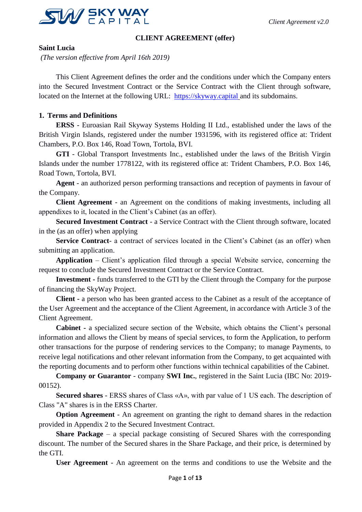

#### **CLIENT AGREEMENT (offer)**

**Saint Lucia**

*(The version effective from April 16th 2019)*

This Client Agreement defines the order and the conditions under which the Company enters into the Secured Investment Contract or the Service Contract with the Client through software, located on the Internet at the following URL: [https://skyway.capital](https://skyway.capital/) and its subdomains.

## **1. Terms and Definitions**

**ERSS** - Euroasian Rail Skyway Systems Holding II Ltd., established under the laws of the British Virgin Islands, registered under the number 1931596, with its registered office at: Trident Chambers, P.O. Box 146, Road Town, Tortola, BVI.

**GTI** - Global Transport Investments Inc., established under the laws of the British Virgin Islands under the number 1778122, with its registered office at: Trident Chambers, P.O. Box 146, Road Town, Tortola, BVI.

**Agent** - an authorized person performing transactions and reception of payments in favour of the Company.

**Client Agreement** - an Agreement on the conditions of making investments, including all appendixes to it, located in the Client's Cabinet (as an offer).

**Secured Investment Contract** - a Service Contract with the Client through software, located in the (as an offer) when applying

**Service Contract**- a contract of services located in the Client's Cabinet (as an offer) when submitting an application.

**Application** – Client's application filed through a special Website service, concerning the request to conclude the Secured Investment Contract or the Service Contract.

**Investment -** funds transferred to the GTI by the Client through the Company for the purpose of financing the SkyWay Project.

**Client -** a person who has been granted access to the Cabinet as a result of the acceptance of the User Agreement and the acceptance of the Client Agreement, in accordance with Article 3 of the Client Agreement.

**Cabinet -** a specialized secure section of the Website, which obtains the Client's personal information and allows the Client by means of special services, to form the Application, to perform other transactions for the purpose of rendering services to the Company; to manage Payments, to receive legal notifications and other relevant information from the Company, to get acquainted with the reporting documents and to perform other functions within technical capabilities of the Cabinet.

**Company or Guarantor** - company **SWI Inc.**, registered in the Saint Lucia (IBC No: 2019- 00152).

**Secured shares** - ERSS shares of Class «A», with par value of 1 US each. The description of Class "A" shares is in the ERSS Charter.

**Option Agreement** - An agreement on granting the right to demand shares in the redaction provided in Appendix 2 to the Secured Investment Contract.

**Share Package** – a special package consisting of Secured Shares with the corresponding discount. The number of the Secured shares in the Share Package, and their price, is determined by the GTI.

**User Agreement** - An agreement on the terms and conditions to use the Website and the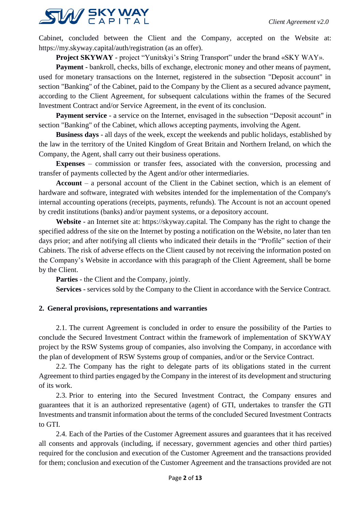

Cabinet, concluded between the Client and the Company, accepted on the Website at: https://my.skyway.capital/auth/registration (as an offer).

**Project SKYWAY** - project "Yunitskyi's String Transport" under the brand «SKY WAY».

**Payment** - bankroll, checks, bills of exchange, electronic money and other means of payment, used for monetary transactions on the Internet, registered in the subsection "Deposit account" in section "Banking" of the Cabinet, paid to the Company by the Client as a secured advance payment, according to the Client Agreement, for subsequent calculations within the frames of the Secured Investment Contract and/or Service Agreement, in the event of its conclusion.

**Payment service** - a service on the Internet, envisaged in the subsection "Deposit account" in section "Banking" of the Cabinet, which allows accepting payments, involving the Agent.

**Business days** - all days of the week, except the weekends and public holidays, established by the law in the territory of the United Kingdom of Great Britain and Northern Ireland, on which the Company, the Agent, shall carry out their business operations.

**Expenses** – commission or transfer fees, associated with the conversion, processing and transfer of payments collected by the Agent and/or other intermediaries.

**Account** – a personal account of the Client in the Cabinet section, which is an element of hardware and software, integrated with websites intended for the implementation of the Company's internal accounting operations (receipts, payments, refunds). The Account is not an account opened by credit institutions (banks) and/or payment systems, or a depository account.

**Website** - an Internet site at: https://skyway.capital. The Company has the right to change the specified address of the site on the Internet by posting a notification on the Website, no later than ten days prior; and after notifying all clients who indicated their details in the "Profile" section of their Cabinets. The risk of adverse effects on the Client caused by not receiving the information posted on the Company's Website in accordance with this paragraph of the Client Agreement, shall be borne by the Client.

**Parties** - the Client and the Company, jointly.

**Services** - services sold by the Company to the Client in accordance with the Service Contract.

## **2. General provisions, representations and warranties**

2.1. The current Agreement is concluded in order to ensure the possibility of the Parties to conclude the Secured Investment Contract within the framework of implementation of SKYWAY project by the RSW Systems group of companies, also involving the Company, in accordance with the plan of development of RSW Systems group of companies, and/or or the Service Contract.

2.2. The Company has the right to delegate parts of its obligations stated in the current Agreement to third parties engaged by the Company in the interest of its development and structuring of its work.

2.3. Prior to entering into the Secured Investment Contract, the Company ensures and guarantees that it is an authorized representative (agent) of GTI, undertakes to transfer the GTI Investments and transmit information about the terms of the concluded Secured Investment Contracts to GTI.

2.4. Each of the Parties of the Customer Agreement assures and guarantees that it has received all consents and approvals (including, if necessary, government agencies and other third parties) required for the conclusion and execution of the Customer Agreement and the transactions provided for them; conclusion and execution of the Customer Agreement and the transactions provided are not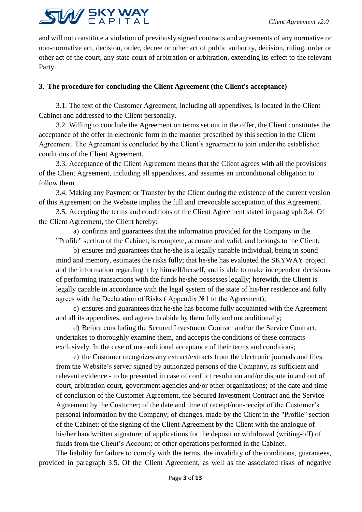

and will not constitute a violation of previously signed contracts and agreements of any normative or non-normative act, decision, order, decree or other act of public authority, decision, ruling, order or other act of the court, any state court of arbitration or arbitration, extending its effect to the relevant Party.

## **3. The procedure for concluding the Client Agreement (the Client's acceptance)**

3.1. The text of the Customer Agreement, including all appendixes, is located in the Client Cabinet and addressed to the Client personally.

3.2. Willing to conclude the Agreement on terms set out in the offer, the Client constitutes the acceptance of the offer in electronic form in the manner prescribed by this section in the Client Agreement. The Agreement is concluded by the Client's agreement to join under the established conditions of the Client Agreement.

3.3. Acceptance of the Client Agreement means that the Client agrees with all the provisions of the Client Agreement, including all appendixes, and assumes an unconditional obligation to follow them.

3.4. Making any Payment or Transfer by the Client during the existence of the current version of this Agreement on the Website implies the full and irrevocable acceptation of this Agreement.

3.5. Accepting the terms and conditions of the Client Agreement stated in paragraph 3.4. Of the Client Agreement, the Client hereby:

a) confirms and guarantees that the information provided for the Company in the "Profile" section of the Cabinet, is complete, accurate and valid, and belongs to the Client;

b) ensures and guarantees that he/she is a legally capable individual, being in sound mind and memory, estimates the risks fully; that he/she has evaluated the SKYWAY project and the information regarding it by himself/herself, and is able to make independent decisions of performing transactions with the funds he/she possesses legally; herewith, the Client is legally capable in accordance with the legal system of the state of his/her residence and fully agrees with the Declaration of Risks ( Appendix №1 to the Agreement);

c) ensures and guarantees that he/she has become fully acquainted with the Agreement and all its appendixes, and agrees to abide by them fully and unconditionally;

d) Before concluding the Secured Investment Contract and/or the Service Contract, undertakes to thoroughly examine them, and accepts the conditions of these contracts exclusively. In the case of unconditional acceptance of their terms and conditions;

e) the Customer recognizes any extract/extracts from the electronic journals and files from the Website's server signed by authorized persons of the Company, as sufficient and relevant evidence - to be presented in case of conflict resolution and/or dispute in and out of court, arbitration court, government agencies and/or other organizations; of the date and time of conclusion of the Customer Agreement, the Secured Investment Contract and the Service Agreement by the Customer; of the date and time of receipt/non-receipt of the Customer's personal information by the Company; of changes, made by the Client in the "Profile" section of the Cabinet; of the signing of the Client Agreement by the Client with the analogue of his/her handwritten signature; of applications for the deposit or withdrawal (writing-off) of funds from the Client's Account; of other operations performed in the Cabinet.

The liability for failure to comply with the terms, the invalidity of the conditions, guarantees, provided in paragraph 3.5. Of the Client Agreement, as well as the associated risks of negative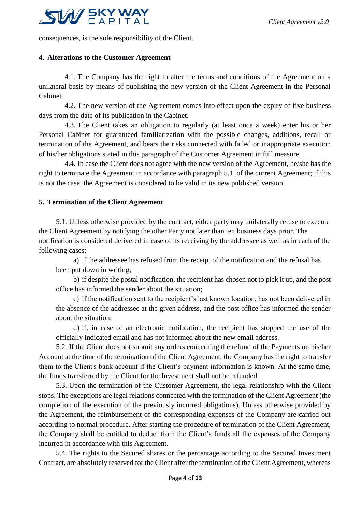

consequences, is the sole responsibility of the Client.

#### **4. Alterations to the Customer Agreement**

4.1. The Company has the right to alter the terms and conditions of the Agreement on a unilateral basis by means of publishing the new version of the Client Agreement in the Personal Cabinet.

4.2. The new version of the Agreement comes into effect upon the expiry of five business days from the date of its publication in the Cabinet.

4.3. The Client takes an obligation to regularly (at least once a week) enter his or her Personal Cabinet for guaranteed familiarization with the possible changes, additions, recall or termination of the Agreement, and bears the risks connected with failed or inappropriate execution of his/her obligations stated in this paragraph of the Customer Agreement in full measure.

4.4. In case the Client does not agree with the new version of the Agreement, he/she has the right to terminate the Agreement in accordance with paragraph 5.1. of the current Agreement; if this is not the case, the Agreement is considered to be valid in its new published version.

#### **5. Termination of the Client Agreement**

5.1. Unless otherwise provided by the contract, either party may unilaterally refuse to execute the Client Agreement by notifying the other Party not later than ten business days prior. The notification is considered delivered in case of its receiving by the addressee as well as in each of the following cases:

a) if the addressee has refused from the receipt of the notification and the refusal has been put down in writing;

b) if despite the postal notification, the recipient has chosen not to pick it up, and the post office has informed the sender about the situation;

c) if the notification sent to the recipient's last known location, has not been delivered in the absence of the addressee at the given address, and the post office has informed the sender about the situation;

d) if, in case of an electronic notification, the recipient has stopped the use of the officially indicated email and has not informed about the new email address.

5.2. If the Client does not submit any orders concerning the refund of the Payments on his/her Account at the time of the termination of the Client Agreement, the Company has the right to transfer them to the Client's bank account if the Client's payment information is known. At the same time, the funds transferred by the Client for the Investment shall not be refunded.

5.3. Upon the termination of the Customer Agreement, the legal relationship with the Client stops. The exceptions are legal relations connected with the termination of the Client Agreement (the completion of the execution of the previously incurred obligations). Unless otherwise provided by the Agreement, the reimbursement of the corresponding expenses of the Company are carried out according to normal procedure. After starting the procedure of termination of the Client Agreement, the Company shall be entitled to deduct from the Client's funds all the expenses of the Company incurred in accordance with this Agreement.

5.4. The rights to the Secured shares or the percentage according to the Secured Investment Contract, are absolutely reserved for the Client after the termination of the Client Agreement, whereas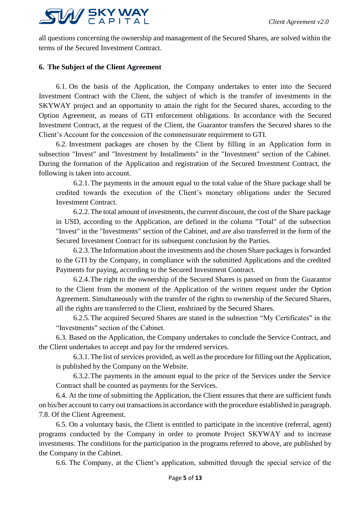

all questions concerning the ownership and management of the Secured Shares, are solved within the terms of the Secured Investment Contract.

# **6. The Subject of the Client Agreement**

6.1. On the basis of the Application, the Company undertakes to enter into the Secured Investment Contract with the Client, the subject of which is the transfer of investments in the SKYWAY project and an opportunity to attain the right for the Secured shares, according to the Option Agreement, as means of GTI enforcement obligations. In accordance with the Secured Investment Contract, at the request of the Client, the Guarantor transfers the Secured shares to the Client's Account for the concession of the commensurate requirement to GTI.

6.2. Investment packages are chosen by the Client by filling in an Application form in subsection "Invest" and "Investment by Installments" in the "Investment" section of the Cabinet. During the formation of the Application and registration of the Secured Investment Contract, the following is taken into account.

6.2.1.The payments in the amount equal to the total value of the Share package shall be credited towards the execution of the Client's monetary obligations under the Secured Investment Contract.

6.2.2.The total amount of investments, the current discount, the cost of the Share package in USD, according to the Application, are defined in the column "Total" of the subsection "Invest" in the "Investments" section of the Cabinet, and are also transferred in the form of the Secured Investment Contract for its subsequent conclusion by the Parties.

6.2.3.The Information about the investments and the chosen Share packages is forwarded to the GTI by the Company, in compliance with the submitted Applications and the credited Payments for paying, according to the Secured Investment Contract.

6.2.4.The right to the ownership of the Secured Shares is passed on from the Guarantor to the Client from the moment of the Application of the written request under the Option Agreement. Simultaneously with the transfer of the rights to ownership of the Secured Shares, all the rights are transferred to the Client, enshrined by the Secured Shares.

6.2.5.The acquired Secured Shares are stated in the subsection "My Certificates" in the "Investments" section of the Cabinet.

6.3. Based on the Application, the Company undertakes to conclude the Service Contract, and the Client undertakes to accept and pay for the rendered services.

6.3.1.The list of services provided, as well as the procedure for filling out the Application, is published by the Company on the Website.

6.3.2.The payments in the amount equal to the price of the Services under the Service Contract shall be counted as payments for the Services.

6.4. At the time of submitting the Application, the Client ensures that there are sufficient funds on his/her account to carry out transactions in accordance with the procedure established in paragraph. 7.8. Of the Client Agreement.

6.5. On a voluntary basis, the Client is entitled to participate in the incentive (referral, agent) programs conducted by the Company in order to promote Project SKYWAY and to increase investments. The conditions for the participation in the programs referred to above, are published by the Company in the Cabinet.

6.6. The Company, at the Client's application, submitted through the special service of the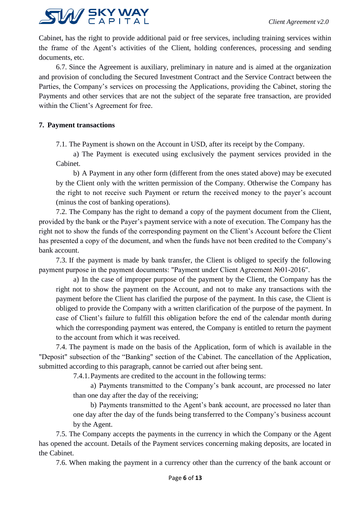

Cabinet, has the right to provide additional paid or free services, including training services within the frame of the Agent's activities of the Client, holding conferences, processing and sending documents, etc.

6.7. Since the Agreement is auxiliary, preliminary in nature and is aimed at the organization and provision of concluding the Secured Investment Contract and the Service Contract between the Parties, the Company's services on processing the Applications, providing the Cabinet, storing the Payments and other services that are not the subject of the separate free transaction, are provided within the Client's Agreement for free.

# **7. Payment transactions**

7.1. The Payment is shown on the Account in USD, after its receipt by the Company.

a) The Payment is executed using exclusively the payment services provided in the Cabinet.

b) A Payment in any other form (different from the ones stated above) may be executed by the Client only with the written permission of the Company. Otherwise the Company has the right to not receive such Payment or return the received money to the payer's account (minus the cost of banking operations).

7.2. The Company has the right to demand a copy of the payment document from the Client, provided by the bank or the Payer's payment service with a note of execution. The Company has the right not to show the funds of the corresponding payment on the Client's Account before the Client has presented a copy of the document, and when the funds have not been credited to the Company's bank account.

7.3. If the payment is made by bank transfer, the Client is obliged to specify the following payment purpose in the payment documents: "Payment under Client Agreement №01-2016".

a) In the case of improper purpose of the payment by the Client, the Company has the right not to show the payment on the Account, and not to make any transactions with the payment before the Client has clarified the purpose of the payment. In this case, the Client is obliged to provide the Company with a written clarification of the purpose of the payment. In case of Client's failure to fulfill this obligation before the end of the calendar month during which the corresponding payment was entered, the Company is entitled to return the payment to the account from which it was received.

7.4. The payment is made on the basis of the Application, form of which is available in the "Deposit" subsection of the "Banking" section of the Cabinet. The cancellation of the Application, submitted according to this paragraph, cannot be carried out after being sent.

7.4.1.Payments are credited to the account in the following terms:

a) Payments transmitted to the Company's bank account, are processed no later than one day after the day of the receiving;

b) Payments transmitted to the Agent's bank account, are processed no later than one day after the day of the funds being transferred to the Company's business account by the Agent.

7.5. The Company accepts the payments in the currency in which the Company or the Agent has opened the account. Details of the Payment services concerning making deposits, are located in the Cabinet.

7.6. When making the payment in a currency other than the currency of the bank account or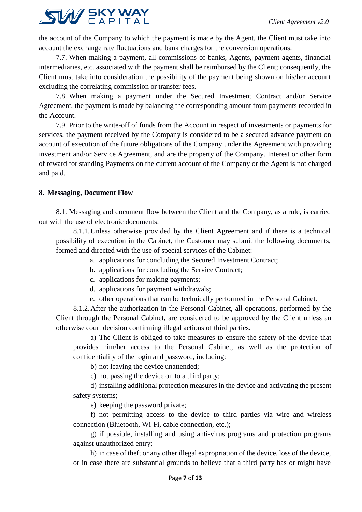

the account of the Company to which the payment is made by the Agent, the Client must take into account the exchange rate fluctuations and bank charges for the conversion operations.

7.7. When making a payment, all commissions of banks, Agents, payment agents, financial intermediaries, etc. associated with the payment shall be reimbursed by the Client; consequently, the Client must take into consideration the possibility of the payment being shown on his/her account excluding the correlating commission or transfer fees.

7.8. When making a payment under the Secured Investment Contract and/or Service Agreement, the payment is made by balancing the corresponding amount from payments recorded in the Account.

7.9. Prior to the write-off of funds from the Account in respect of investments or payments for services, the payment received by the Company is considered to be a secured advance payment on account of execution of the future obligations of the Company under the Agreement with providing investment and/or Service Agreement, and are the property of the Company. Interest or other form of reward for standing Payments on the current account of the Company or the Agent is not charged and paid.

## **8. Messaging, Document Flow**

8.1. Messaging and document flow between the Client and the Company, as a rule, is carried out with the use of electronic documents.

8.1.1.Unless otherwise provided by the Client Agreement and if there is a technical possibility of execution in the Cabinet, the Customer may submit the following documents, formed and directed with the use of special services of the Cabinet:

- a. applications for concluding the Secured Investment Contract;
- b. applications for concluding the Service Contract;
- c. applications for making payments;
- d. applications for payment withdrawals;
- e. other operations that can be technically performed in the Personal Cabinet.

8.1.2.After the authorization in the Personal Cabinet, all operations, performed by the Client through the Personal Cabinet, are considered to be approved by the Client unless an otherwise court decision confirming illegal actions of third parties.

a) The Client is obliged to take measures to ensure the safety of the device that provides him/her access to the Personal Cabinet, as well as the protection of confidentiality of the login and password, including:

b) not leaving the device unattended;

c) not passing the device on to a third party;

d) installing additional protection measures in the device and activating the present safety systems;

e) keeping the password private;

f) not permitting access to the device to third parties via wire and wireless connection (Bluetooth, Wi-Fi, cable connection, etc.);

g) if possible, installing and using anti-virus programs and protection programs against unauthorized entry;

h) in case of theft or any other illegal expropriation of the device, loss of the device, or in case there are substantial grounds to believe that a third party has or might have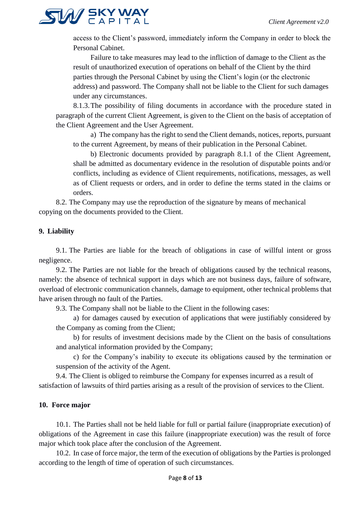

access to the Client's password, immediately inform the Company in order to block the Personal Cabinet.

Failure to take measures may lead to the infliction of damage to the Client as the result of unauthorized execution of operations on behalf of the Client by the third parties through the Personal Cabinet by using the Client's login (or the electronic address) and password. The Company shall not be liable to the Client for such damages under any circumstances.

8.1.3.The possibility of filing documents in accordance with the procedure stated in paragraph of the current Client Agreement, is given to the Client on the basis of acceptation of the Client Agreement and the User Agreement.

a) The company has the right to send the Client demands, notices, reports, pursuant to the current Agreement, by means of their publication in the Personal Cabinet.

b) Electronic documents provided by paragraph 8.1.1 of the Client Agreement, shall be admitted as documentary evidence in the resolution of disputable points and/or conflicts, including as evidence of Client requirements, notifications, messages, as well as of Client requests or orders, and in order to define the terms stated in the claims or orders.

8.2. The Company may use the reproduction of the signature by means of mechanical copying on the documents provided to the Client.

## **9. Liability**

9.1. The Parties are liable for the breach of obligations in case of willful intent or gross negligence.

9.2. The Parties are not liable for the breach of obligations caused by the technical reasons, namely: the absence of technical support in days which are not business days, failure of software, overload of electronic communication channels, damage to equipment, other technical problems that have arisen through no fault of the Parties.

9.3. The Company shall not be liable to the Client in the following cases:

a) for damages caused by execution of applications that were justifiably considered by the Company as coming from the Client;

b) for results of investment decisions made by the Client on the basis of consultations and analytical information provided by the Company;

c) for the Company's inability to execute its obligations caused by the termination or suspension of the activity of the Agent.

9.4. The Client is obliged to reimburse the Company for expenses incurred as a result of satisfaction of lawsuits of third parties arising as a result of the provision of services to the Client.

## **10. Force major**

10.1. The Parties shall not be held liable for full or partial failure (inappropriate execution) of obligations of the Agreement in case this failure (inappropriate execution) was the result of force major which took place after the conclusion of the Agreement.

10.2. In case of force major, the term of the execution of obligations by the Parties is prolonged according to the length of time of operation of such circumstances.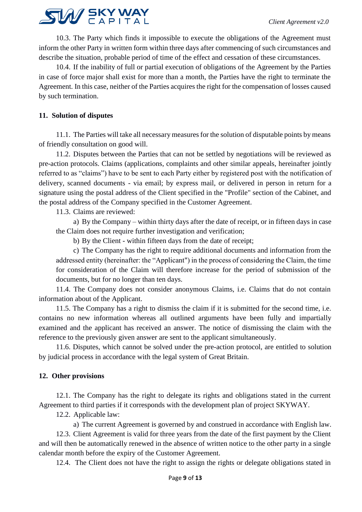

10.3. The Party which finds it impossible to execute the obligations of the Agreement must inform the other Party in written form within three days after commencing of such circumstances and describe the situation, probable period of time of the effect and cessation of these circumstances.

10.4. If the inability of full or partial execution of obligations of the Agreement by the Parties in case of force major shall exist for more than a month, the Parties have the right to terminate the Agreement. In this case, neither of the Parties acquires the right for the compensation of losses caused by such termination.

# **11. Solution of disputes**

11.1. The Parties will take all necessary measures for the solution of disputable points by means of friendly consultation on good will.

11.2. Disputes between the Parties that can not be settled by negotiations will be reviewed as pre-action protocols. Claims (applications, complaints and other similar appeals, hereinafter jointly referred to as "claims") have to be sent to each Party either by registered post with the notification of delivery, scanned documents - via email; by express mail, or delivered in person in return for a signature using the postal address of the Client specified in the "Profile" section of the Cabinet, and the postal address of the Company specified in the Customer Agreement.

11.3. Claims are reviewed:

a) By the Company – within thirty days after the date of receipt, or in fifteen days in case the Claim does not require further investigation and verification;

b) By the Client - within fifteen days from the date of receipt;

c) The Company has the right to require additional documents and information from the addressed entity (hereinafter: the "Applicant") in the process of considering the Claim, the time for consideration of the Claim will therefore increase for the period of submission of the documents, but for no longer than ten days.

11.4. The Company does not consider anonymous Claims, i.e. Claims that do not contain information about of the Applicant.

11.5. The Company has a right to dismiss the claim if it is submitted for the second time, i.e. contains no new information whereas all outlined arguments have been fully and impartially examined and the applicant has received an answer. The notice of dismissing the claim with the reference to the previously given answer are sent to the applicant simultaneously.

11.6. Disputes, which cannot be solved under the pre-action protocol, are entitled to solution by judicial process in accordance with the legal system of Great Britain.

## **12. Other provisions**

12.1. The Company has the right to delegate its rights and obligations stated in the current Agreement to third parties if it corresponds with the development plan of project SKYWAY.

12.2. Applicable law:

a) The current Agreement is governed by and construed in accordance with English law. 12.3. Client Agreement is valid for three years from the date of the first payment by the Client and will then be automatically renewed in the absence of written notice to the other party in a single calendar month before the expiry of the Customer Agreement.

12.4. The Client does not have the right to assign the rights or delegate obligations stated in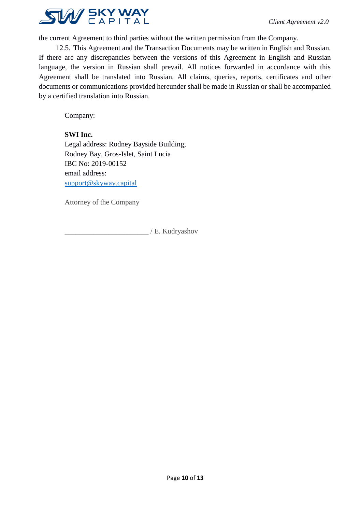

the current Agreement to third parties without the written permission from the Company.

12.5. This Agreement and the Transaction Documents may be written in English and Russian. If there are any discrepancies between the versions of this Agreement in English and Russian language, the version in Russian shall prevail. All notices forwarded in accordance with this Agreement shall be translated into Russian. All claims, queries, reports, certificates and other documents or communications provided hereunder shall be made in Russian or shall be accompanied by a certified translation into Russian.

Company:

## **SWI Inc.**

Legal address: Rodney Bayside Building, Rodney Bay, Gros-Islet, Saint Lucia IBC No: 2019-00152 email address: [support@skyway.capital](mailto:support@skyway.capital)

Attorney of the Company

\_\_\_\_\_\_\_\_\_\_\_\_\_\_\_\_\_\_\_\_\_\_\_ / E. Kudryashov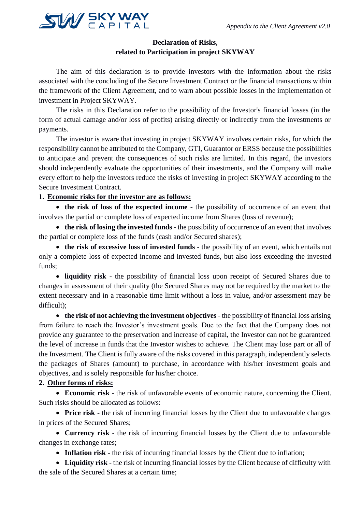

# **Declaration of Risks, related to Participation in project SKYWAY**

The aim of this declaration is to provide investors with the information about the risks associated with the concluding of the Secure Investment Contract or the financial transactions within the framework of the Client Agreement, and to warn about possible losses in the implementation of investment in Project SKYWAY.

The risks in this Declaration refer to the possibility of the Investor's financial losses (in the form of actual damage and/or loss of profits) arising directly or indirectly from the investments or payments.

The investor is aware that investing in project SKYWAY involves certain risks, for which the responsibility cannot be attributed to the Company, GTI, Guarantor or ERSS because the possibilities to anticipate and prevent the consequences of such risks are limited. In this regard, the investors should independently evaluate the opportunities of their investments, and the Company will make every effort to help the investors reduce the risks of investing in project SKYWAY according to the Secure Investment Contract.

# **1. Economic risks for the investor are as follows:**

• **the risk of loss of the expected income** - the possibility of occurrence of an event that involves the partial or complete loss of expected income from Shares (loss of revenue);

• **the risk of losing the invested funds** - the possibility of occurrence of an event that involves the partial or complete loss of the funds (cash and/or Secured shares);

• **the risk of excessive loss of invested funds** - the possibility of an event, which entails not only a complete loss of expected income and invested funds, but also loss exceeding the invested funds;

• **liquidity risk** - the possibility of financial loss upon receipt of Secured Shares due to changes in assessment of their quality (the Secured Shares may not be required by the market to the extent necessary and in a reasonable time limit without a loss in value, and/or assessment may be difficult);

• the risk of not achieving the investment objectives - the possibility of financial loss arising from failure to reach the Investor's investment goals. Due to the fact that the Company does not provide any guarantee to the preservation and increase of capital, the Investor can not be guaranteed the level of increase in funds that the Investor wishes to achieve. The Client may lose part or all of the Investment. The Client is fully aware of the risks covered in this paragraph, independently selects the packages of Shares (amount) to purchase, in accordance with his/her investment goals and objectives, and is solely responsible for his/her choice.

# **2. Other forms of risks:**

• **Economic risk** - the risk of unfavorable events of economic nature, concerning the Client. Such risks should be allocated as follows:

• **Price risk** - the risk of incurring financial losses by the Client due to unfavorable changes in prices of the Secured Shares;

• **Currency risk** - the risk of incurring financial losses by the Client due to unfavourable changes in exchange rates;

• **Inflation risk** - the risk of incurring financial losses by the Client due to inflation;

• **Liquidity risk** - the risk of incurring financial losses by the Client because of difficulty with the sale of the Secured Shares at a certain time;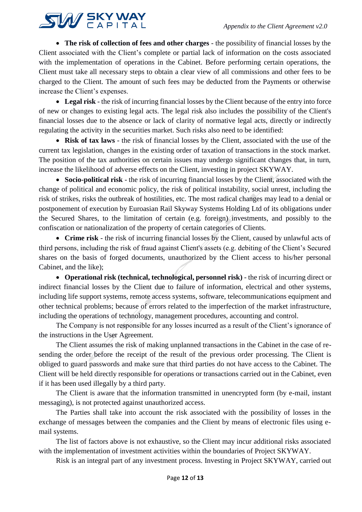

• **The risk of collection of fees and other charges** - the possibility of financial losses by the Client associated with the Client's complete or partial lack of information on the costs associated with the implementation of operations in the Cabinet. Before performing certain operations, the Client must take all necessary steps to obtain a clear view of all commissions and other fees to be charged to the Client. The amount of such fees may be deducted from the Payments or otherwise increase the Client's expenses.

• **Legal risk** - the risk of incurring financial losses by the Client because of the entry into force of new or changes to existing legal acts. The legal risk also includes the possibility of the Client's financial losses due to the absence or lack of clarity of normative legal acts, directly or indirectly regulating the activity in the securities market. Such risks also need to be identified:

• **Risk of tax laws** - the risk of financial losses by the Client, associated with the use of the current tax legislation, changes in the existing order of taxation of transactions in the stock market. The position of the tax authorities on certain issues may undergo significant changes that, in turn, increase the likelihood of adverse effects on the Client, investing in project SKYWAY.

• **Socio-political risk** - the risk of incurring financial losses by the Client, associated with the change of political and economic policy, the risk of political instability, social unrest, including the risk of strikes, risks the outbreak of hostilities, etc. The most radical changes may lead to a denial or postponement of execution by Euroasian Rail Skyway Systems Holding Ltd of its obligations under the Secured Shares, to the limitation of certain (e.g. foreign) investments, and possibly to the confiscation or nationalization of the property of certain categories of Clients.

• **Crime risk** - the risk of incurring financial losses by the Client, caused by unlawful acts of third persons, including the risk of fraud against Client's assets (e.g. debiting of the Client's Secured shares on the basis of forged documents, unauthorized by the Client access to his/her personal Cabinet, and the like);

• **Operational risk (technical, technological, personnel risk)** - the risk of incurring direct or indirect financial losses by the Client due to failure of information, electrical and other systems, including life support systems, remote access systems, software, telecommunications equipment and other technical problems; because of errors related to the imperfection of the market infrastructure, including the operations of technology, management procedures, accounting and control.

The Company is not responsible for any losses incurred as a result of the Client's ignorance of the instructions in the User Agreement.

The Client assumes the risk of making unplanned transactions in the Cabinet in the case of resending the order before the receipt of the result of the previous order processing. The Client is obliged to guard passwords and make sure that third parties do not have access to the Cabinet. The Client will be held directly responsible for operations or transactions carried out in the Cabinet, even if it has been used illegally by a third party.

The Client is aware that the information transmitted in unencrypted form (by e-mail, instant messaging), is not protected against unauthorized access.

The Parties shall take into account the risk associated with the possibility of losses in the exchange of messages between the companies and the Client by means of electronic files using email systems.

The list of factors above is not exhaustive, so the Client may incur additional risks associated with the implementation of investment activities within the boundaries of Project SKYWAY.

Risk is an integral part of any investment process. Investing in Project SKYWAY, carried out